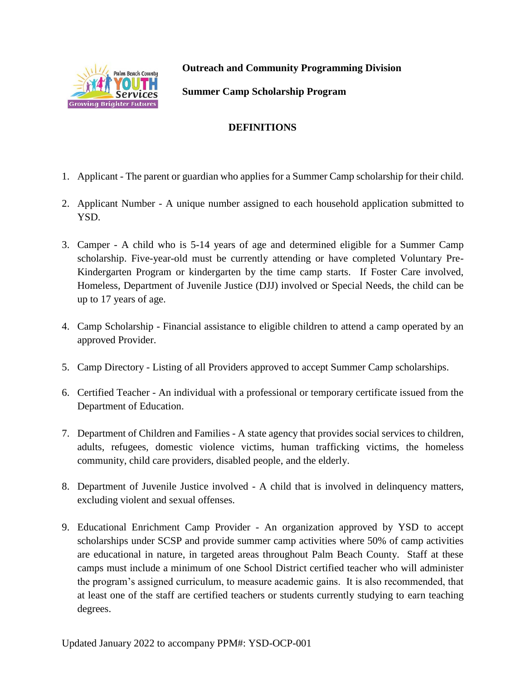

**Outreach and Community Programming Division**

**Summer Camp Scholarship Program**

## **DEFINITIONS**

- 1. Applicant The parent or guardian who applies for a Summer Camp scholarship for their child.
- 2. Applicant Number A unique number assigned to each household application submitted to YSD.
- 3. Camper A child who is 5-14 years of age and determined eligible for a Summer Camp scholarship. Five-year-old must be currently attending or have completed Voluntary Pre-Kindergarten Program or kindergarten by the time camp starts. If Foster Care involved, Homeless, Department of Juvenile Justice (DJJ) involved or Special Needs, the child can be up to 17 years of age.
- 4. Camp Scholarship Financial assistance to eligible children to attend a camp operated by an approved Provider.
- 5. Camp Directory Listing of all Providers approved to accept Summer Camp scholarships.
- 6. Certified Teacher An individual with a professional or temporary certificate issued from the Department of Education.
- 7. Department of Children and Families A state agency that provides social services to children, adults, refugees, domestic violence victims, human trafficking victims, the homeless community, child care providers, disabled people, and the elderly.
- 8. Department of Juvenile Justice involved A child that is involved in delinquency matters, excluding violent and sexual offenses.
- 9. Educational Enrichment Camp Provider An organization approved by YSD to accept scholarships under SCSP and provide summer camp activities where 50% of camp activities are educational in nature, in targeted areas throughout Palm Beach County. Staff at these camps must include a minimum of one School District certified teacher who will administer the program's assigned curriculum, to measure academic gains. It is also recommended, that at least one of the staff are certified teachers or students currently studying to earn teaching degrees.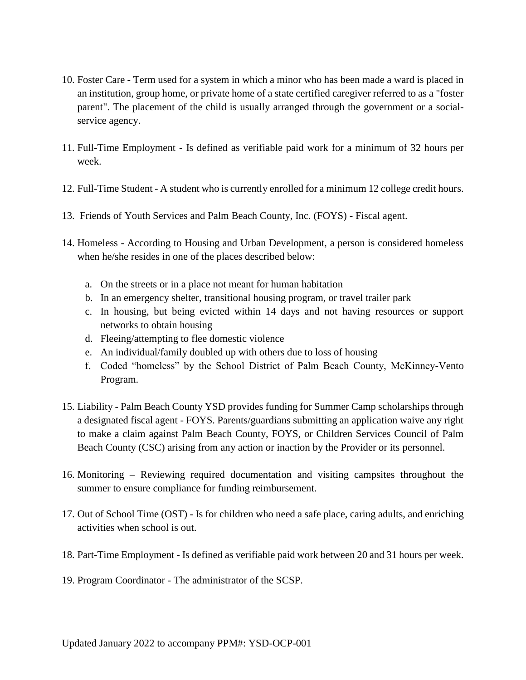- 10. Foster Care Term used for a system in which a minor who has been made a ward is placed in an institution, group home, or private home of a state certified caregiver referred to as a "foster parent". The placement of the child is usually arranged through the government or a socialservice agency.
- 11. Full-Time Employment Is defined as verifiable paid work for a minimum of 32 hours per week.
- 12. Full-Time Student A student who is currently enrolled for a minimum 12 college credit hours.
- 13. Friends of Youth Services and Palm Beach County, Inc. (FOYS) Fiscal agent.
- 14. Homeless According to Housing and Urban Development, a person is considered homeless when he/she resides in one of the places described below:
	- a. On the streets or in a place not meant for human habitation
	- b. In an emergency shelter, transitional housing program, or travel trailer park
	- c. In housing, but being evicted within 14 days and not having resources or support networks to obtain housing
	- d. Fleeing/attempting to flee domestic violence
	- e. An individual/family doubled up with others due to loss of housing
	- f. Coded "homeless" by the School District of Palm Beach County, McKinney-Vento Program.
- 15. Liability Palm Beach County YSD provides funding for Summer Camp scholarships through a designated fiscal agent - FOYS. Parents/guardians submitting an application waive any right to make a claim against Palm Beach County, FOYS, or Children Services Council of Palm Beach County (CSC) arising from any action or inaction by the Provider or its personnel.
- 16. Monitoring Reviewing required documentation and visiting campsites throughout the summer to ensure compliance for funding reimbursement.
- 17. Out of School Time (OST) Is for children who need a safe place, caring adults, and enriching activities when school is out.
- 18. Part-Time Employment Is defined as verifiable paid work between 20 and 31 hours per week.
- 19. Program Coordinator The administrator of the SCSP.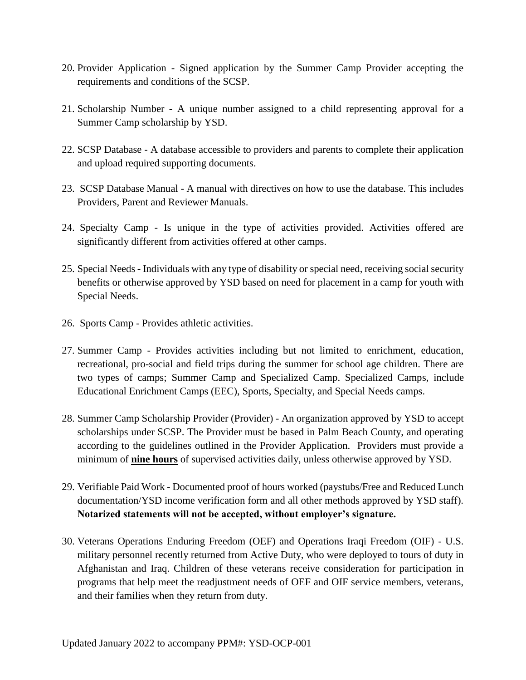- 20. Provider Application Signed application by the Summer Camp Provider accepting the requirements and conditions of the SCSP.
- 21. Scholarship Number A unique number assigned to a child representing approval for a Summer Camp scholarship by YSD.
- 22. SCSP Database A database accessible to providers and parents to complete their application and upload required supporting documents.
- 23. SCSP Database Manual A manual with directives on how to use the database. This includes Providers, Parent and Reviewer Manuals.
- 24. Specialty Camp Is unique in the type of activities provided. Activities offered are significantly different from activities offered at other camps.
- 25. Special Needs Individuals with any type of disability or special need, receiving social security benefits or otherwise approved by YSD based on need for placement in a camp for youth with Special Needs.
- 26. Sports Camp Provides athletic activities.
- 27. Summer Camp Provides activities including but not limited to enrichment, education, recreational, pro-social and field trips during the summer for school age children. There are two types of camps; Summer Camp and Specialized Camp. Specialized Camps, include Educational Enrichment Camps (EEC), Sports, Specialty, and Special Needs camps.
- 28. Summer Camp Scholarship Provider (Provider) An organization approved by YSD to accept scholarships under SCSP. The Provider must be based in Palm Beach County, and operating according to the guidelines outlined in the Provider Application. Providers must provide a minimum of **nine hours** of supervised activities daily, unless otherwise approved by YSD.
- 29. Verifiable Paid Work Documented proof of hours worked (paystubs/Free and Reduced Lunch documentation/YSD income verification form and all other methods approved by YSD staff). **Notarized statements will not be accepted, without employer's signature.**
- 30. Veterans Operations Enduring Freedom (OEF) and Operations Iraqi Freedom (OIF) U.S. military personnel recently returned from Active Duty, who were deployed to tours of duty in Afghanistan and Iraq. Children of these veterans receive consideration for participation in programs that help meet the readjustment needs of OEF and OIF service members, veterans, and their families when they return from duty.